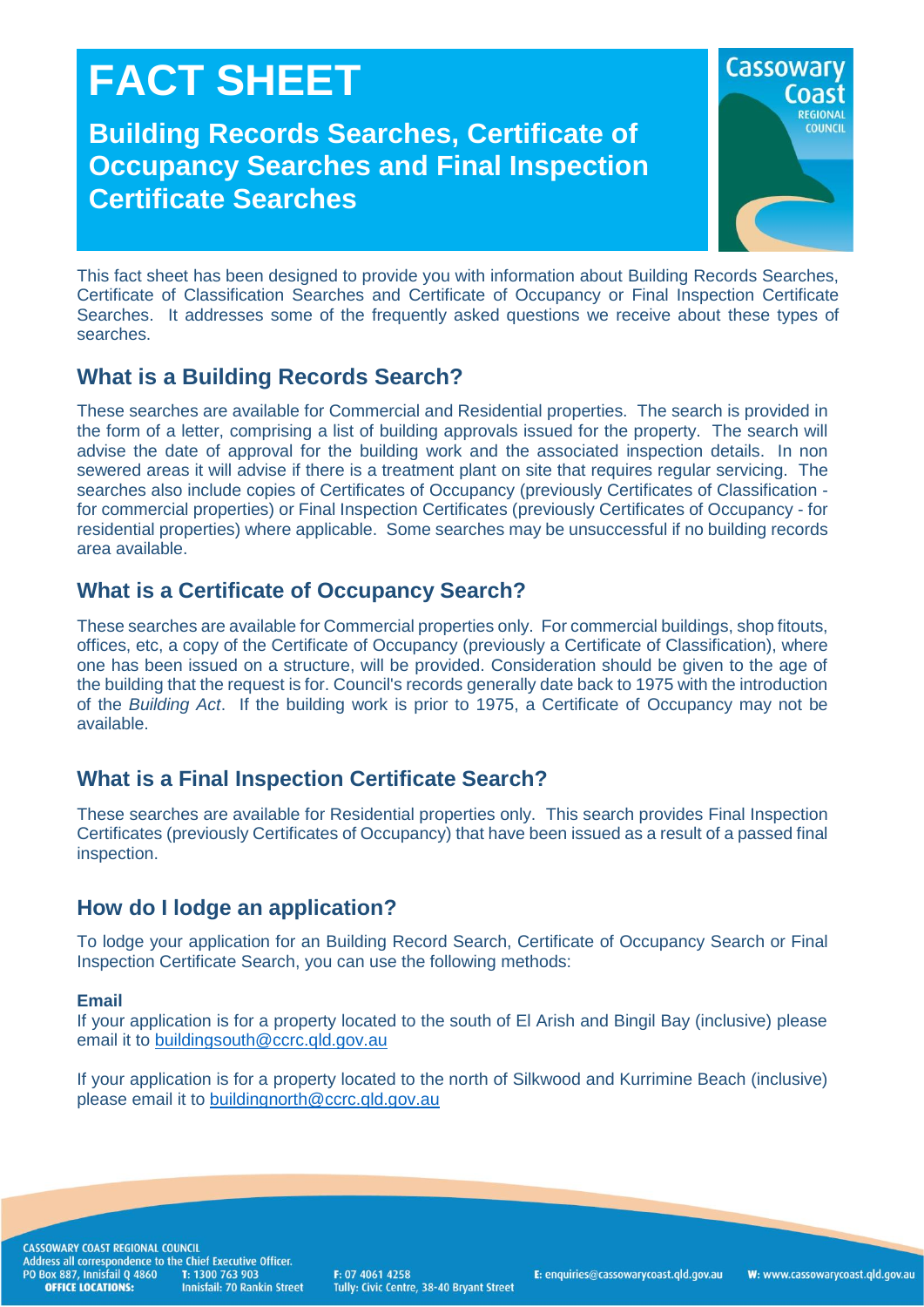# **FACT SHEET**

**Building Records Searches, Certificate of Occupancy Searches and Final Inspection Certificate Searches**



This fact sheet has been designed to provide you with information about Building Records Searches, Certificate of Classification Searches and Certificate of Occupancy or Final Inspection Certificate Searches. It addresses some of the frequently asked questions we receive about these types of searches.

# **What is a Building Records Search?**

These searches are available for Commercial and Residential properties. The search is provided in the form of a letter, comprising a list of building approvals issued for the property. The search will advise the date of approval for the building work and the associated inspection details. In non sewered areas it will advise if there is a treatment plant on site that requires regular servicing. The searches also include copies of Certificates of Occupancy (previously Certificates of Classification for commercial properties) or Final Inspection Certificates (previously Certificates of Occupancy - for residential properties) where applicable. Some searches may be unsuccessful if no building records area available.

## **What is a Certificate of Occupancy Search?**

These searches are available for Commercial properties only. For commercial buildings, shop fitouts, offices, etc, a copy of the Certificate of Occupancy (previously a Certificate of Classification), where one has been issued on a structure, will be provided. Consideration should be given to the age of the building that the request is for. Council's records generally date back to 1975 with the introduction of the *Building Act*. If the building work is prior to 1975, a Certificate of Occupancy may not be available.

## **What is a Final Inspection Certificate Search?**

These searches are available for Residential properties only. This search provides Final Inspection Certificates (previously Certificates of Occupancy) that have been issued as a result of a passed final inspection.

## **How do I lodge an application?**

To lodge your application for an Building Record Search, Certificate of Occupancy Search or Final Inspection Certificate Search, you can use the following methods:

#### **Email**

If your application is for a property located to the south of El Arish and Bingil Bay (inclusive) please email it to [buildingsouth@ccrc.qld.gov.au](mailto:buildingsouth@ccrc.qld.gov.au)

If your application is for a property located to the north of Silkwood and Kurrimine Beach (inclusive) please email it to [buildingnorth@ccrc.qld.gov.au](mailto:buildingnorth@ccrc.qld.gov.au)

CASSOWARY COAST REGIONAL COUNCIL CASSOWART CONSTRUCTED IN CHINE EXECUTIVE OF<br>Address all correspondence to the Chief Executive Officer.<br>PO Box 887, Innisfail Q 4860 T: 1300 763 903<br>**OFFICE LOCATIONS:** Innisfail: 70 Rankin Stree **Innisfail: 70 Rankin Street** 

F: 07 4061 4258 Tully: Civic Centre, 38-40 Bryant Street **E**: enquiries@cassowarycoast.gld.gov.au

W: www.cassowarycoast.qld.gov.au